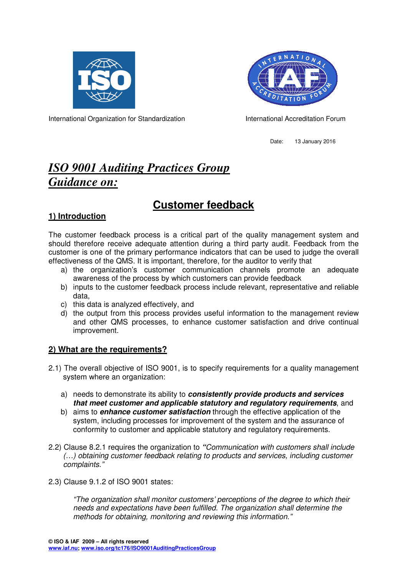



International Organization for Standardization International Accreditation Forum

Date: 13 January 2016

# *ISO 9001 Auditing Practices Group Guidance on:*

# **Customer feedback**

# **1) Introduction**

The customer feedback process is a critical part of the quality management system and should therefore receive adequate attention during a third party audit. Feedback from the customer is one of the primary performance indicators that can be used to judge the overall effectiveness of the QMS. It is important, therefore, for the auditor to verify that

- a) the organization's customer communication channels promote an adequate awareness of the process by which customers can provide feedback
- b) inputs to the customer feedback process include relevant, representative and reliable data,
- c) this data is analyzed effectively, and
- d) the output from this process provides useful information to the management review and other QMS processes, to enhance customer satisfaction and drive continual improvement.

## **2) What are the requirements?**

- 2.1) The overall objective of ISO 9001, is to specify requirements for a quality management system where an organization:
	- a) needs to demonstrate its ability to **consistently provide products and services that meet customer and applicable statutory and regulatory requirements**, and
	- b) aims to **enhance customer satisfaction** through the effective application of the system, including processes for improvement of the system and the assurance of conformity to customer and applicable statutory and regulatory requirements.
- 2.2) Clause 8.2.1 requires the organization to **"**Communication with customers shall include (…) obtaining customer feedback relating to products and services, including customer complaints."
- 2.3) Clause 9.1.2 of ISO 9001 states:

"The organization shall monitor customers' perceptions of the degree to which their needs and expectations have been fulfilled. The organization shall determine the methods for obtaining, monitoring and reviewing this information."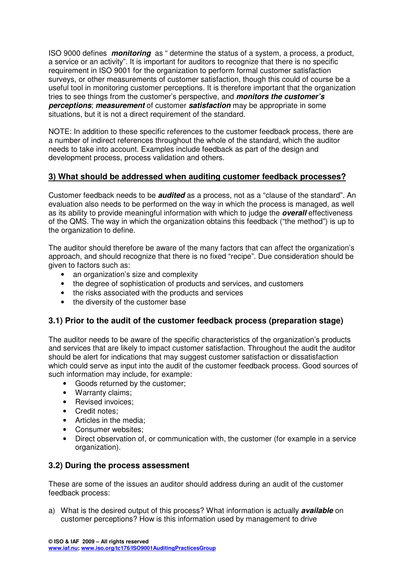ISO 9000 defines **monitoring** as " determine the status of a system, a process, a product, a service or an activity". It is important for auditors to recognize that there is no specific requirement in ISO 9001 for the organization to perform formal customer satisfaction surveys, or other measurements of customer satisfaction, though this could of course be a useful tool in monitoring customer perceptions. It is therefore important that the organization tries to see things from the customer's perspective, and **monitors the customer's perceptions**; **measurement** of customer **satisfaction** may be appropriate in some situations, but it is not a direct requirement of the standard.

NOTE: In addition to these specific references to the customer feedback process, there are a number of indirect references throughout the whole of the standard, which the auditor needs to take into account. Examples include feedback as part of the design and development process, process validation and others.

#### **3) What should be addressed when auditing customer feedback processes?**

Customer feedback needs to be **audited** as a process, not as a "clause of the standard". An evaluation also needs to be performed on the way in which the process is managed, as well as its ability to provide meaningful information with which to judge the **overall** effectiveness of the QMS. The way in which the organization obtains this feedback ("the method") is up to the organization to define.

The auditor should therefore be aware of the many factors that can affect the organization's approach, and should recognize that there is no fixed "recipe". Due consideration should be given to factors such as:

- an organization's size and complexity
- the degree of sophistication of products and services, and customers
- the risks associated with the products and services
- the diversity of the customer base

## **3.1) Prior to the audit of the customer feedback process (preparation stage)**

The auditor needs to be aware of the specific characteristics of the organization's products and services that are likely to impact customer satisfaction. Throughout the audit the auditor should be alert for indications that may suggest customer satisfaction or dissatisfaction which could serve as input into the audit of the customer feedback process. Good sources of such information may include, for example:

- Goods returned by the customer;
- Warranty claims;
- Revised invoices:
- Credit notes;
- Articles in the media:
- Consumer websites;
- Direct observation of, or communication with, the customer (for example in a service organization).

#### **3.2) During the process assessment**

These are some of the issues an auditor should address during an audit of the customer feedback process:

a) What is the desired output of this process? What information is actually **available** on customer perceptions? How is this information used by management to drive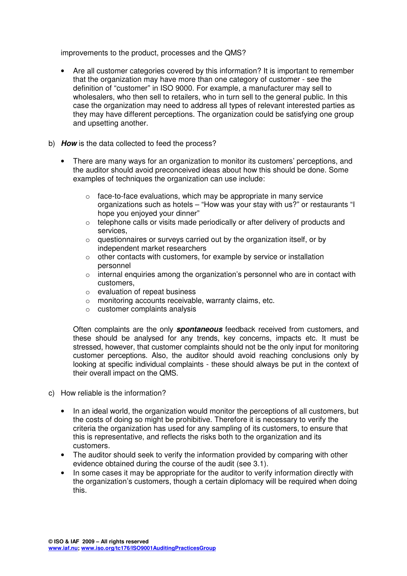improvements to the product, processes and the QMS?

- Are all customer categories covered by this information? It is important to remember that the organization may have more than one category of customer - see the definition of "customer" in ISO 9000. For example, a manufacturer may sell to wholesalers, who then sell to retailers, who in turn sell to the general public. In this case the organization may need to address all types of relevant interested parties as they may have different perceptions. The organization could be satisfying one group and upsetting another.
- b) **How** is the data collected to feed the process?
	- There are many ways for an organization to monitor its customers' perceptions, and the auditor should avoid preconceived ideas about how this should be done. Some examples of techniques the organization can use include:
		- $\circ$  face-to-face evaluations, which may be appropriate in many service organizations such as hotels – "How was your stay with us?" or restaurants "I hope you enjoyed your dinner"
		- $\circ$  telephone calls or visits made periodically or after delivery of products and services,
		- $\circ$  questionnaires or surveys carried out by the organization itself, or by independent market researchers
		- $\circ$  other contacts with customers, for example by service or installation personnel
		- $\circ$  internal enguiries among the organization's personnel who are in contact with customers,
		- o evaluation of repeat business
		- o monitoring accounts receivable, warranty claims, etc.
		- o customer complaints analysis

Often complaints are the only **spontaneous** feedback received from customers, and these should be analysed for any trends, key concerns, impacts etc. It must be stressed, however, that customer complaints should not be the only input for monitoring customer perceptions. Also, the auditor should avoid reaching conclusions only by looking at specific individual complaints - these should always be put in the context of their overall impact on the QMS.

- c) How reliable is the information?
	- In an ideal world, the organization would monitor the perceptions of all customers, but the costs of doing so might be prohibitive. Therefore it is necessary to verify the criteria the organization has used for any sampling of its customers, to ensure that this is representative, and reflects the risks both to the organization and its customers.
	- The auditor should seek to verify the information provided by comparing with other evidence obtained during the course of the audit (see 3.1).
	- In some cases it may be appropriate for the auditor to verify information directly with the organization's customers, though a certain diplomacy will be required when doing this.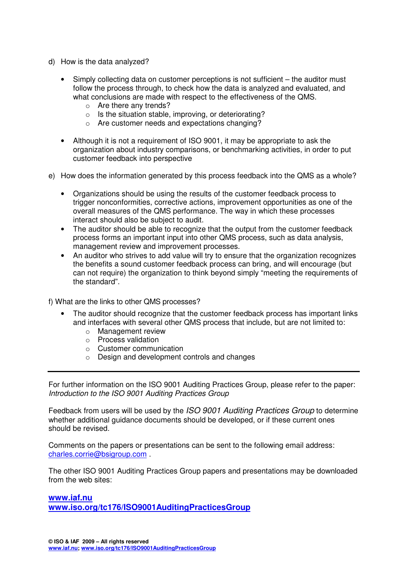- d) How is the data analyzed?
	- Simply collecting data on customer perceptions is not sufficient the auditor must follow the process through, to check how the data is analyzed and evaluated, and what conclusions are made with respect to the effectiveness of the QMS.
		- o Are there any trends?
		- o Is the situation stable, improving, or deteriorating?
		- o Are customer needs and expectations changing?
	- Although it is not a requirement of ISO 9001, it may be appropriate to ask the organization about industry comparisons, or benchmarking activities, in order to put customer feedback into perspective
- e) How does the information generated by this process feedback into the QMS as a whole?
	- Organizations should be using the results of the customer feedback process to trigger nonconformities, corrective actions, improvement opportunities as one of the overall measures of the QMS performance. The way in which these processes interact should also be subject to audit.
	- The auditor should be able to recognize that the output from the customer feedback process forms an important input into other QMS process, such as data analysis, management review and improvement processes.
	- An auditor who strives to add value will try to ensure that the organization recognizes the benefits a sound customer feedback process can bring, and will encourage (but can not require) the organization to think beyond simply "meeting the requirements of the standard".

f) What are the links to other QMS processes?

- The auditor should recognize that the customer feedback process has important links and interfaces with several other QMS process that include, but are not limited to:
	- o Management review
	- o Process validation
	- o Customer communication
	- o Design and development controls and changes

For further information on the ISO 9001 Auditing Practices Group, please refer to the paper: Introduction to the ISO 9001 Auditing Practices Group

Feedback from users will be used by the ISO 9001 Auditing Practices Group to determine whether additional guidance documents should be developed, or if these current ones should be revised.

Comments on the papers or presentations can be sent to the following email address: charles.corrie@bsigroup.com .

The other ISO 9001 Auditing Practices Group papers and presentations may be downloaded from the web sites:

**www.iaf.nu www.iso.org/tc176/ISO9001AuditingPracticesGroup**